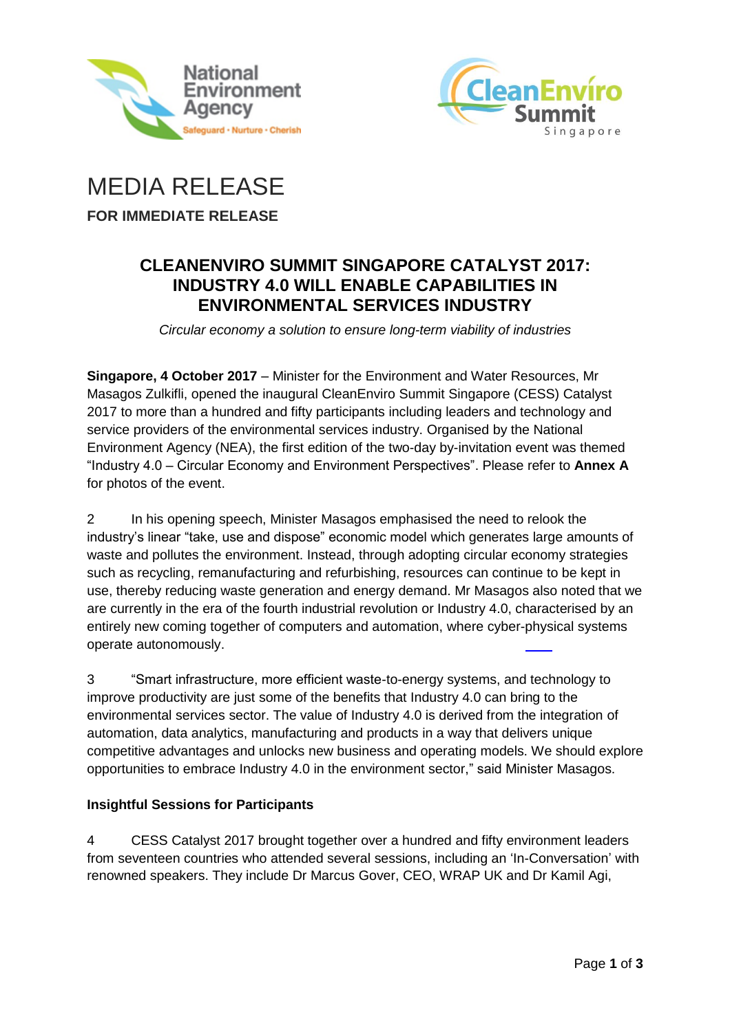



# MEDIA RELEASE **FOR IMMEDIATE RELEASE**

## **CLEANENVIRO SUMMIT SINGAPORE CATALYST 2017: INDUSTRY 4.0 WILL ENABLE CAPABILITIES IN ENVIRONMENTAL SERVICES INDUSTRY**

*Circular economy a solution to ensure long-term viability of industries* 

**Singapore, 4 October 2017** – Minister for the Environment and Water Resources, Mr Masagos Zulkifli, opened the inaugural CleanEnviro Summit Singapore (CESS) Catalyst 2017 to more than a hundred and fifty participants including leaders and technology and service providers of the environmental services industry. Organised by the National Environment Agency (NEA), the first edition of the two-day by-invitation event was themed "Industry 4.0 – Circular Economy and Environment Perspectives". Please refer to **Annex A**  for photos of the event.

2 In his opening speech, Minister Masagos emphasised the need to relook the industry's linear "take, use and dispose" economic model which generates large amounts of waste and pollutes the environment. Instead, through adopting circular economy strategies such as recycling, remanufacturing and refurbishing, resources can continue to be kept in use, thereby reducing waste generation and energy demand. Mr Masagos also noted that we are currently in the era of the fourth industrial revolution or Industry 4.0, characterised by an entirely new coming together of computers and automation, where cyber-physical systems operate autonomously.

3 "Smart infrastructure, more efficient waste-to-energy systems, and technology to improve productivity are just some of the benefits that Industry 4.0 can bring to the environmental services sector. The value of Industry 4.0 is derived from the integration of automation, data analytics, manufacturing and products in a way that delivers unique competitive advantages and unlocks new business and operating models. We should explore opportunities to embrace Industry 4.0 in the environment sector," said Minister Masagos.

## **Insightful Sessions for Participants**

4 CESS Catalyst 2017 brought together over a hundred and fifty environment leaders from seventeen countries who attended several sessions, including an 'In-Conversation' with renowned speakers. They include Dr Marcus Gover, CEO, WRAP UK and Dr Kamil Agi,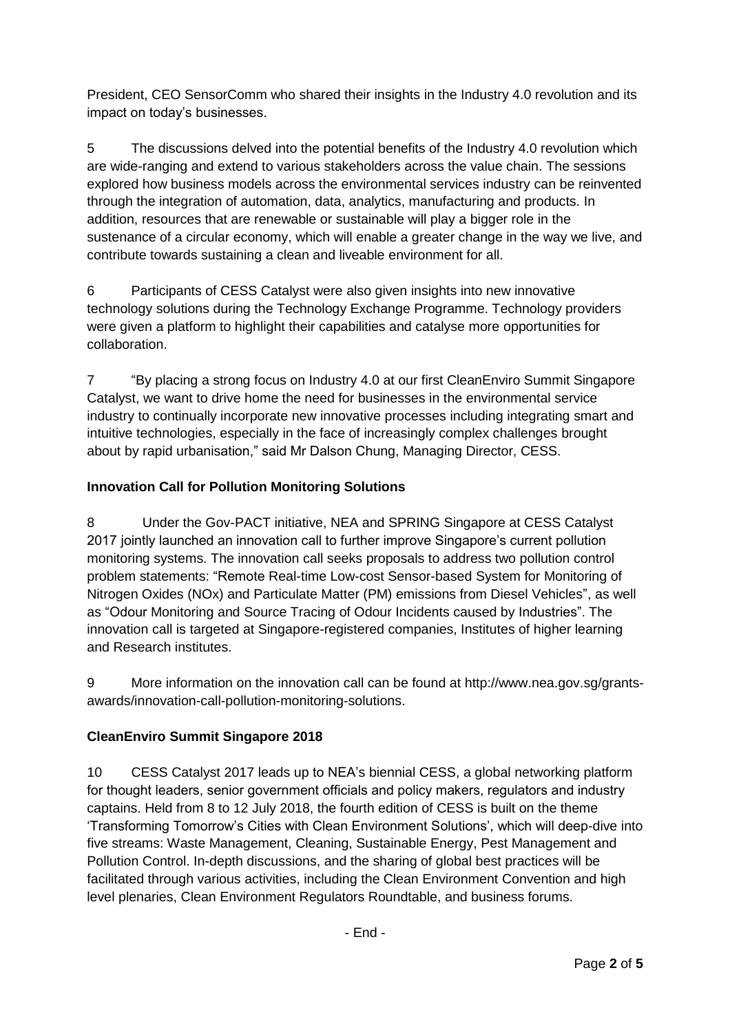President, CEO SensorComm who shared their insights in the Industry 4.0 revolution and its impact on today's businesses.

5 The discussions delved into the potential benefits of the Industry 4.0 revolution which are wide-ranging and extend to various stakeholders across the value chain. The sessions explored how business models across the environmental services industry can be reinvented through the integration of automation, data, analytics, manufacturing and products. In addition, resources that are renewable or sustainable will play a bigger role in the sustenance of a circular economy, which will enable a greater change in the way we live, and contribute towards sustaining a clean and liveable environment for all.

6 Participants of CESS Catalyst were also given insights into new innovative technology solutions during the Technology Exchange Programme. Technology providers were given a platform to highlight their capabilities and catalyse more opportunities for collaboration.

7 "By placing a strong focus on Industry 4.0 at our first CleanEnviro Summit Singapore Catalyst, we want to drive home the need for businesses in the environmental service industry to continually incorporate new innovative processes including integrating smart and intuitive technologies, especially in the face of increasingly complex challenges brought about by rapid urbanisation," said Mr Dalson Chung, Managing Director, CESS.

## **Innovation Call for Pollution Monitoring Solutions**

8 Under the Gov-PACT initiative, NEA and SPRING Singapore at CESS Catalyst 2017 jointly launched an innovation call to further improve Singapore's current pollution monitoring systems. The innovation call seeks proposals to address two pollution control problem statements: "Remote Real-time Low-cost Sensor-based System for Monitoring of Nitrogen Oxides (NOx) and Particulate Matter (PM) emissions from Diesel Vehicles", as well as "Odour Monitoring and Source Tracing of Odour Incidents caused by Industries". The innovation call is targeted at Singapore-registered companies, Institutes of higher learning and Research institutes.

9 More information on the innovation call can be found at [http://www.nea.gov.sg/grants](http://www.nea.gov.sg/grants-awards/innovation-call-pollution-monitoring-solutions)[awards/innovation-call-pollution-monitoring-solutions.](http://www.nea.gov.sg/grants-awards/innovation-call-pollution-monitoring-solutions)

## **CleanEnviro Summit Singapore 2018**

10 CESS Catalyst 2017 leads up to NEA's biennial CESS, a global networking platform for thought leaders, senior government officials and policy makers, regulators and industry captains. Held from 8 to 12 July 2018, the fourth edition of CESS is built on the theme 'Transforming Tomorrow's Cities with Clean Environment Solutions', which will deep-dive into five streams: Waste Management, Cleaning, Sustainable Energy, Pest Management and Pollution Control. In-depth discussions, and the sharing of global best practices will be facilitated through various activities, including the Clean Environment Convention and high level plenaries, Clean Environment Regulators Roundtable, and business forums.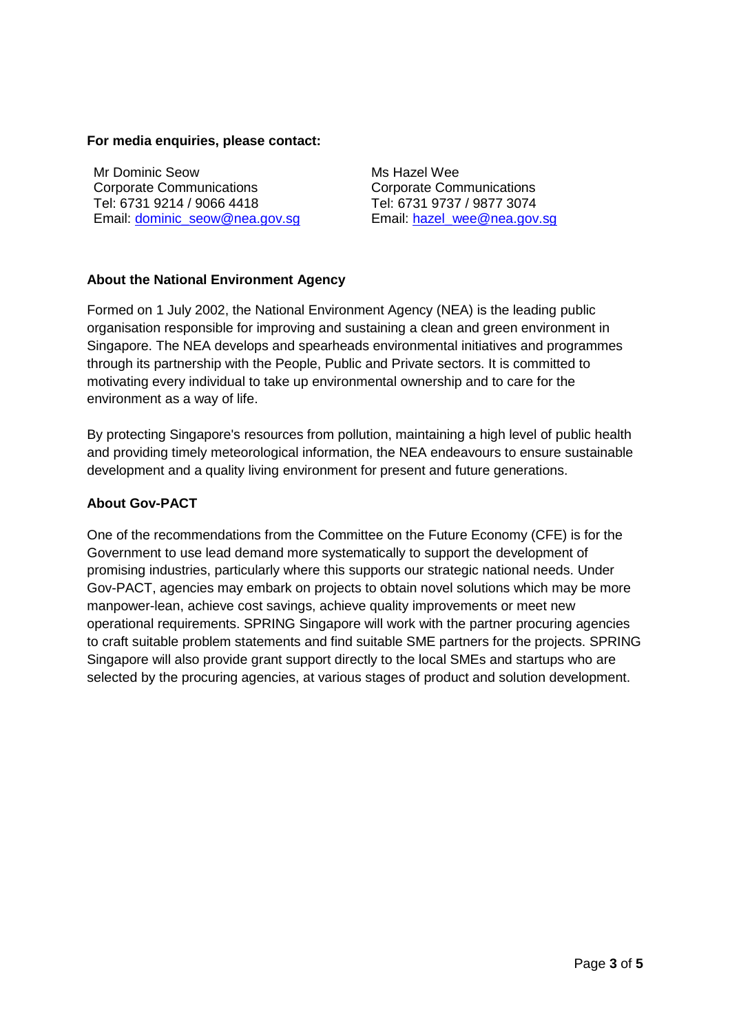#### **For media enquiries, please contact:**

Mr Dominic Seow Corporate Communications Tel: 6731 9214 / 9066 4418 Email: [dominic\\_seow@nea.gov.sg](mailto:dominic_seow@nea.gov.sg)

Ms Hazel Wee Corporate Communications Tel: 6731 9737 / 9877 3074 Email: [hazel\\_wee@nea.gov.sg](mailto:hazel_wee@nea.gov.sg)

#### **About the National Environment Agency**

Formed on 1 July 2002, the National Environment Agency (NEA) is the leading public organisation responsible for improving and sustaining a clean and green environment in Singapore. The NEA develops and spearheads environmental initiatives and programmes through its partnership with the People, Public and Private sectors. It is committed to motivating every individual to take up environmental ownership and to care for the environment as a way of life.

By protecting Singapore's resources from pollution, maintaining a high level of public health and providing timely meteorological information, the NEA endeavours to ensure sustainable development and a quality living environment for present and future generations.

#### **About Gov-PACT**

One of the recommendations from the Committee on the Future Economy (CFE) is for the Government to use lead demand more systematically to support the development of promising industries, particularly where this supports our strategic national needs. Under Gov-PACT, agencies may embark on projects to obtain novel solutions which may be more manpower-lean, achieve cost savings, achieve quality improvements or meet new operational requirements. SPRING Singapore will work with the partner procuring agencies to craft suitable problem statements and find suitable SME partners for the projects. SPRING Singapore will also provide grant support directly to the local SMEs and startups who are selected by the procuring agencies, at various stages of product and solution development.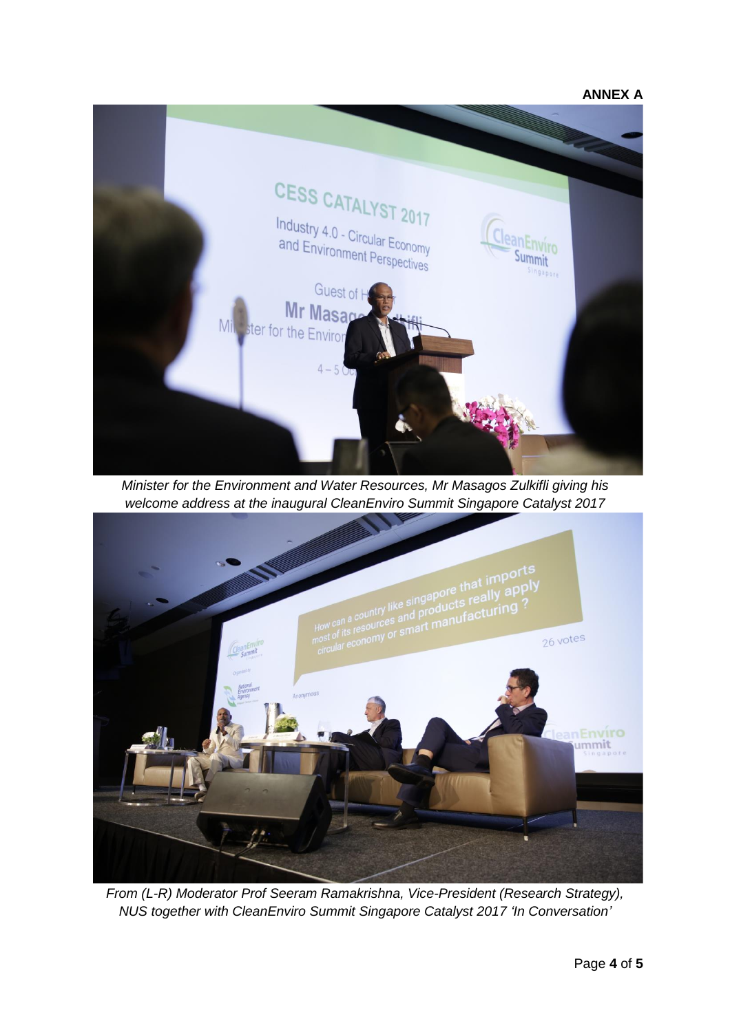### **ANNEX A**



*Minister for the Environment and Water Resources, Mr Masagos Zulkifli giving his welcome address at the inaugural CleanEnviro Summit Singapore Catalyst 2017*



*From (L-R) Moderator Prof Seeram Ramakrishna, Vice-President (Research Strategy), NUS together with CleanEnviro Summit Singapore Catalyst 2017 'In Conversation'*